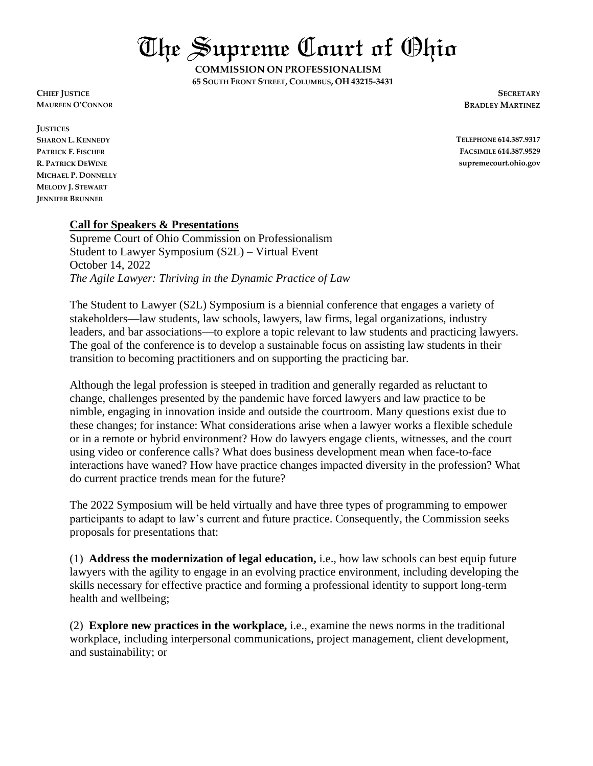The Supreme Court of Ohio

**COMMISSION ON PROFESSIONALISM 65 SOUTH FRONT STREET, COLUMBUS, OH 43215-3431**

**CHIEF JUSTICE SECRETARY MAUREEN O'CONNOR BRADLEY MARTINEZ**

**JUSTICES MICHAEL P. DONNELLY MELODY J. STEWART JENNIFER BRUNNER**

## **Call for Speakers & Presentations**

Supreme Court of Ohio Commission on Professionalism Student to Lawyer Symposium (S2L) – Virtual Event October 14, 2022 *The Agile Lawyer: Thriving in the Dynamic Practice of Law*

The Student to Lawyer (S2L) Symposium is a biennial conference that engages a variety of stakeholders—law students, law schools, lawyers, law firms, legal organizations, industry leaders, and bar associations—to explore a topic relevant to law students and practicing lawyers. The goal of the conference is to develop a sustainable focus on assisting law students in their transition to becoming practitioners and on supporting the practicing bar.

Although the legal profession is steeped in tradition and generally regarded as reluctant to change, challenges presented by the pandemic have forced lawyers and law practice to be nimble, engaging in innovation inside and outside the courtroom. Many questions exist due to these changes; for instance: What considerations arise when a lawyer works a flexible schedule or in a remote or hybrid environment? How do lawyers engage clients, witnesses, and the court using video or conference calls? What does business development mean when face-to-face interactions have waned? How have practice changes impacted diversity in the profession? What do current practice trends mean for the future?

The 2022 Symposium will be held virtually and have three types of programming to empower participants to adapt to law's current and future practice. Consequently, the Commission seeks proposals for presentations that:

(1) **Address the modernization of legal education,** i.e., how law schools can best equip future lawyers with the agility to engage in an evolving practice environment, including developing the skills necessary for effective practice and forming a professional identity to support long-term health and wellbeing;

(2) **Explore new practices in the workplace,** i.e., examine the news norms in the traditional workplace, including interpersonal communications, project management, client development, and sustainability; or

**SHARON L. KENNEDY TELEPHONE 614.387.9317 PATRICK F. FISCHER FACSIMILE 614.387.9529 R. PATRICK DEWINE supremecourt.ohio.gov**